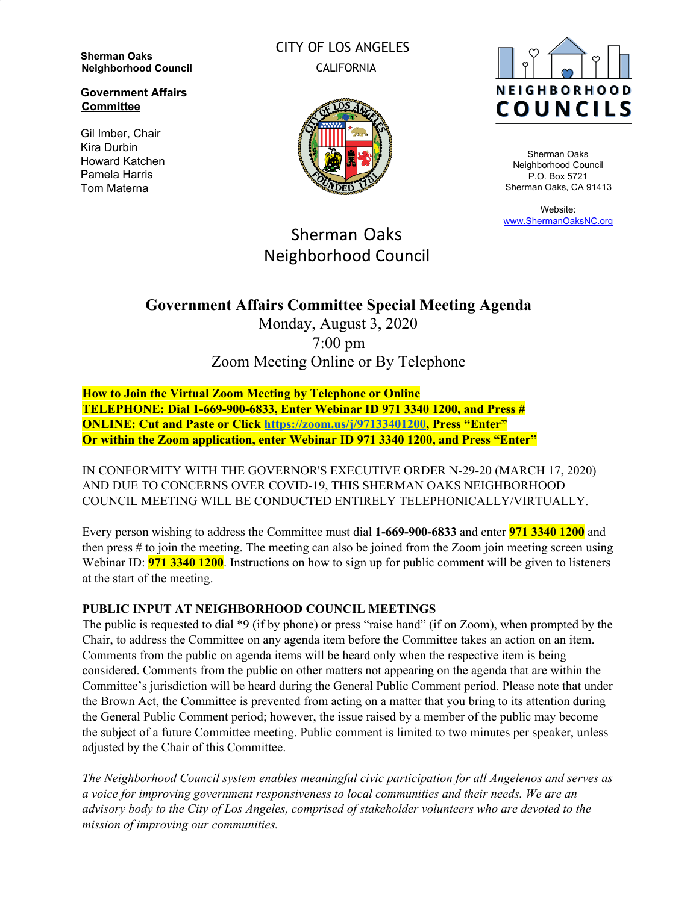**Sherman Oaks Neighborhood Council**

**Government Affairs Committee**

Gil Imber, Chair Kira Durbin Howard Katchen Pamela Harris Tom Materna

CITY OF LOS ANGELES CALIFORNIA





Sherman Oaks Neighborhood Council P.O. Box 5721 Sherman Oaks, CA 91413

Website: [www.ShermanOaksNC.org](http://www.shermanoaksnc.org/)

# Sherman Oaks Neighborhood Council

# **Government Affairs Committee Special Meeting Agenda**

Monday, August 3, 2020 7:00 pm Zoom Meeting Online or By Telephone

**How to Join the Virtual Zoom Meeting by Telephone or Online TELEPHONE: Dial 1-669-900-6833, Enter Webinar ID 971 3340 1200, and Press # ONLINE: Cut and Paste or Click [https://zoom.us/j/97133401200,](https://zoom.us/j/97133401200) Press "Enter" Or within the Zoom application, enter Webinar ID 971 3340 1200, and Press "Enter"**

IN CONFORMITY WITH THE GOVERNOR'S EXECUTIVE ORDER N-29-20 (MARCH 17, 2020) AND DUE TO CONCERNS OVER COVID-19, THIS SHERMAN OAKS NEIGHBORHOOD COUNCIL MEETING WILL BE CONDUCTED ENTIRELY TELEPHONICALLY/VIRTUALLY.

Every person wishing to address the Committee must dial **1-669-900-6833** and enter **971 3340 1200** and then press # to join the meeting. The meeting can also be joined from the Zoom join meeting screen using Webinar ID: **971 3340 1200**. Instructions on how to sign up for public comment will be given to listeners at the start of the meeting.

## **PUBLIC INPUT AT NEIGHBORHOOD COUNCIL MEETINGS**

The public is requested to dial \*9 (if by phone) or press "raise hand" (if on Zoom), when prompted by the Chair, to address the Committee on any agenda item before the Committee takes an action on an item. Comments from the public on agenda items will be heard only when the respective item is being considered. Comments from the public on other matters not appearing on the agenda that are within the Committee's jurisdiction will be heard during the General Public Comment period. Please note that under the Brown Act, the Committee is prevented from acting on a matter that you bring to its attention during the General Public Comment period; however, the issue raised by a member of the public may become the subject of a future Committee meeting. Public comment is limited to two minutes per speaker, unless adjusted by the Chair of this Committee.

*The Neighborhood Council system enables meaningful civic participation for all Angelenos and serves as a voice for improving government responsiveness to local communities and their needs. We are an advisory body to the City of Los Angeles, comprised of stakeholder volunteers who are devoted to the mission of improving our communities.*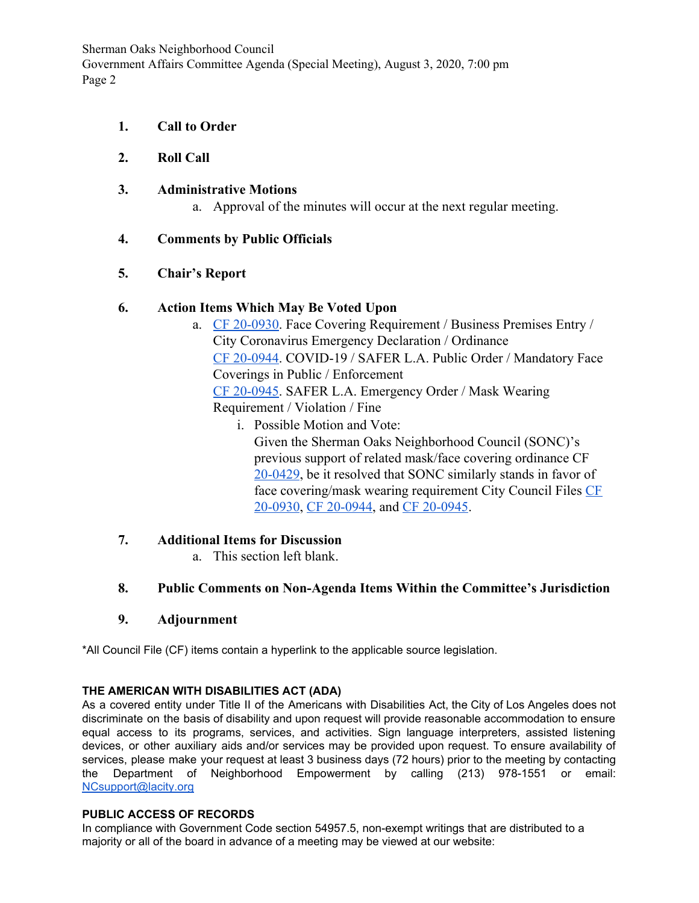Sherman Oaks Neighborhood Council Government Affairs Committee Agenda (Special Meeting), August 3, 2020, 7:00 pm Page 2

- **1. Call to Order**
- **2. Roll Call**
- **3. Administrative Motions**
	- a. Approval of the minutes will occur at the next regular meeting.

### **4. Comments by Public Officials**

### **5. Chair's Report**

#### **6. Action Items Which May Be Voted Upon**

- a. [CF 20-0930](https://cityclerk.lacity.org/lacityclerkconnect/index.cfm?fa=ccfi.viewrecord&cfnumber=20-0930). Face Covering Requirement / Business Premises Entry / City Coronavirus Emergency Declaration / Ordinance [CF 20-0944](https://cityclerk.lacity.org/lacityclerkconnect/index.cfm?fa=ccfi.viewrecord&cfnumber=20-0944). COVID-19 / SAFER L.A. Public Order / Mandatory Face Coverings in Public / Enforcement [CF 20-0945](https://cityclerk.lacity.org/lacityclerkconnect/index.cfm?fa=ccfi.viewrecord&cfnumber=20-0945). SAFER L.A. Emergency Order / Mask Wearing Requirement / Violation / Fine
	- i. Possible Motion and Vote: Given the Sherman Oaks Neighborhood Council (SONC)'s previous support of related mask/face covering ordinance CF [20-0429](https://cityclerk.lacity.org/lacityclerkconnect/index.cfm?fa=ccfi.viewrecord&cfnumber=20-0429), be it resolved that SONC similarly stands in favor of face covering/mask wearing requirement City Council Files [CF](https://cityclerk.lacity.org/lacityclerkconnect/index.cfm?fa=ccfi.viewrecord&cfnumber=20-0930) [20-0930](https://cityclerk.lacity.org/lacityclerkconnect/index.cfm?fa=ccfi.viewrecord&cfnumber=20-0930), [CF 20-0944](https://cityclerk.lacity.org/lacityclerkconnect/index.cfm?fa=ccfi.viewrecord&cfnumber=20-0944), and [CF 20-0945](https://cityclerk.lacity.org/lacityclerkconnect/index.cfm?fa=ccfi.viewrecord&cfnumber=20-0945).
- **7. Additional Items for Discussion**
	- a. This section left blank.

### **8. Public Comments on Non-Agenda Items Within the Committee's Jurisdiction**

**9. Adjournment**

\*All Council File (CF) items contain a hyperlink to the applicable source legislation.

#### **THE AMERICAN WITH DISABILITIES ACT (ADA)**

As a covered entity under Title II of the Americans with Disabilities Act, the City of Los Angeles does not discriminate on the basis of disability and upon request will provide reasonable accommodation to ensure equal access to its programs, services, and activities. Sign language interpreters, assisted listening devices, or other auxiliary aids and/or services may be provided upon request. To ensure availability of services, please make your request at least 3 business days (72 hours) prior to the meeting by contacting the Department of Neighborhood Empowerment by calling (213) 978-1551 or email: [NCsupport@lacity.org](mailto:NCsupport@lacity.org)

#### **PUBLIC ACCESS OF RECORDS**

In compliance with Government Code section 54957.5, non-exempt writings that are distributed to a majority or all of the board in advance of a meeting may be viewed at our website: